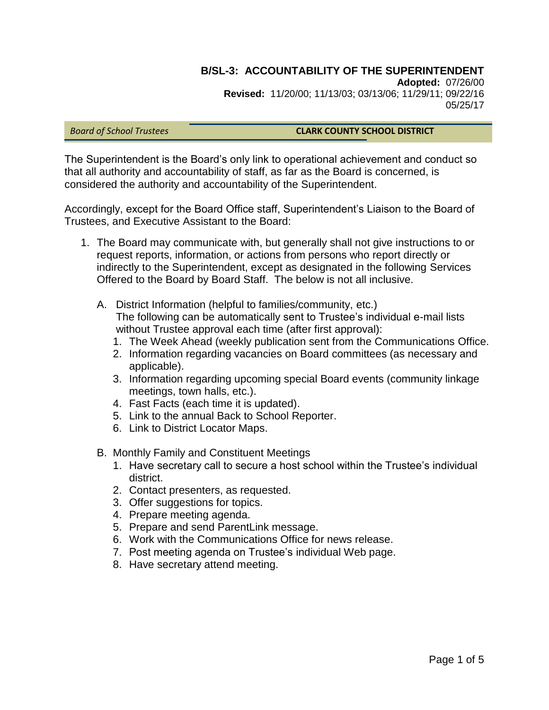# **B/SL-3: ACCOUNTABILITY OF THE SUPERINTENDENT**

**Adopted:** 07/26/00 **Revised:** 11/20/00; 11/13/03; 03/13/06; 11/29/11; 09/22/16 05/25/17

#### *Board of School Trustees* **CLARK COUNTY SCHOOL DISTRICT**

The Superintendent is the Board's only link to operational achievement and conduct so that all authority and accountability of staff, as far as the Board is concerned, is considered the authority and accountability of the Superintendent.

Accordingly, except for the Board Office staff, Superintendent's Liaison to the Board of Trustees, and Executive Assistant to the Board:

- 1. The Board may communicate with, but generally shall not give instructions to or request reports, information, or actions from persons who report directly or indirectly to the Superintendent, except as designated in the following Services Offered to the Board by Board Staff. The below is not all inclusive.
	- A. District Information (helpful to families/community, etc.) The following can be automatically sent to Trustee's individual e-mail lists without Trustee approval each time (after first approval):
		- 1. The Week Ahead (weekly publication sent from the Communications Office.
		- 2. Information regarding vacancies on Board committees (as necessary and applicable).
		- 3. Information regarding upcoming special Board events (community linkage meetings, town halls, etc.).
		- 4. Fast Facts (each time it is updated).
		- 5. Link to the annual Back to School Reporter.
		- 6. Link to District Locator Maps.
	- B. Monthly Family and Constituent Meetings
		- 1. Have secretary call to secure a host school within the Trustee's individual district.
		- 2. Contact presenters, as requested.
		- 3. Offer suggestions for topics.
		- 4. Prepare meeting agenda.
		- 5. Prepare and send ParentLink message.
		- 6. Work with the Communications Office for news release.
		- 7. Post meeting agenda on Trustee's individual Web page.
		- 8. Have secretary attend meeting.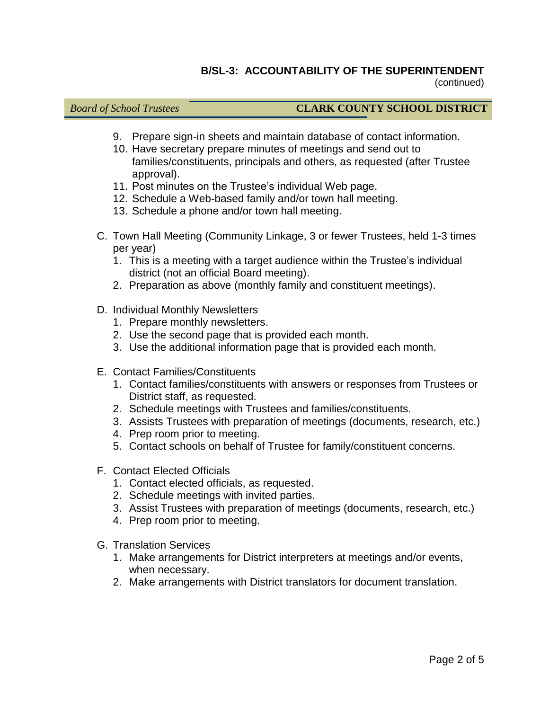# **B/SL-3: ACCOUNTABILITY OF THE SUPERINTENDENT**

(continued)

- 9. Prepare sign-in sheets and maintain database of contact information.
- 10. Have secretary prepare minutes of meetings and send out to families/constituents, principals and others, as requested (after Trustee approval).
- 11. Post minutes on the Trustee's individual Web page.
- 12. Schedule a Web-based family and/or town hall meeting.
- 13. Schedule a phone and/or town hall meeting.
- C. Town Hall Meeting (Community Linkage, 3 or fewer Trustees, held 1-3 times per year)
	- 1. This is a meeting with a target audience within the Trustee's individual district (not an official Board meeting).
	- 2. Preparation as above (monthly family and constituent meetings).
- D. Individual Monthly Newsletters
	- 1. Prepare monthly newsletters.
	- 2. Use the second page that is provided each month.
	- 3. Use the additional information page that is provided each month.
- E. Contact Families/Constituents
	- 1. Contact families/constituents with answers or responses from Trustees or District staff, as requested.
	- 2. Schedule meetings with Trustees and families/constituents.
	- 3. Assists Trustees with preparation of meetings (documents, research, etc.)
	- 4. Prep room prior to meeting.
	- 5. Contact schools on behalf of Trustee for family/constituent concerns.
- F. Contact Elected Officials
	- 1. Contact elected officials, as requested.
	- 2. Schedule meetings with invited parties.
	- 3. Assist Trustees with preparation of meetings (documents, research, etc.)
	- 4. Prep room prior to meeting.
- G. Translation Services
	- 1. Make arrangements for District interpreters at meetings and/or events, when necessary.
	- 2. Make arrangements with District translators for document translation.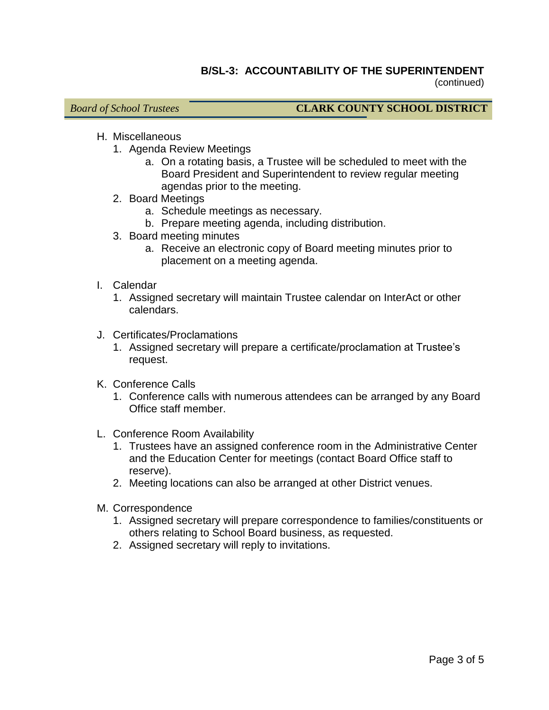#### **B/SL-3: ACCOUNTABILITY OF THE SUPERINTENDENT** (continued)

- H. Miscellaneous
	- 1. Agenda Review Meetings
		- a. On a rotating basis, a Trustee will be scheduled to meet with the Board President and Superintendent to review regular meeting agendas prior to the meeting.
	- 2. Board Meetings
		- a. Schedule meetings as necessary.
		- b. Prepare meeting agenda, including distribution.
	- 3. Board meeting minutes
		- a. Receive an electronic copy of Board meeting minutes prior to placement on a meeting agenda.
- I. Calendar
	- 1. Assigned secretary will maintain Trustee calendar on InterAct or other calendars.
- J. Certificates/Proclamations
	- 1. Assigned secretary will prepare a certificate/proclamation at Trustee's request.
- K. Conference Calls
	- 1. Conference calls with numerous attendees can be arranged by any Board Office staff member.
- L. Conference Room Availability
	- 1. Trustees have an assigned conference room in the Administrative Center and the Education Center for meetings (contact Board Office staff to reserve).
	- 2. Meeting locations can also be arranged at other District venues.
- M. Correspondence
	- 1. Assigned secretary will prepare correspondence to families/constituents or others relating to School Board business, as requested.
	- 2. Assigned secretary will reply to invitations.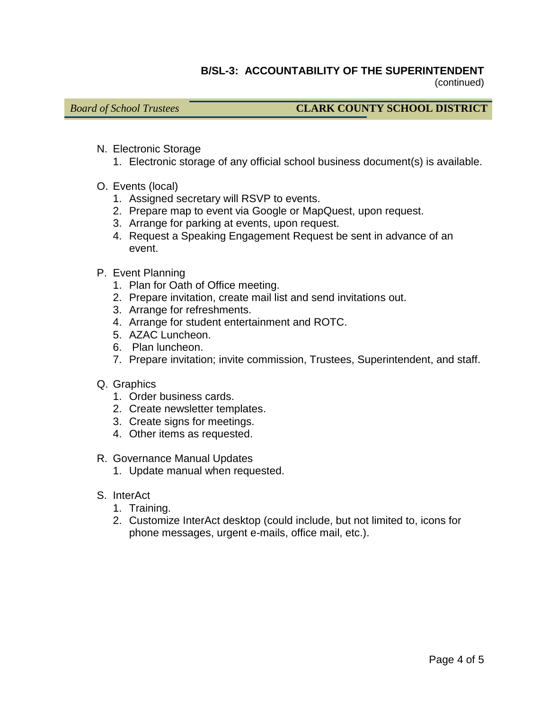#### **B/SL-3: ACCOUNTABILITY OF THE SUPERINTENDENT** (continued)

- N. Electronic Storage
	- 1. Electronic storage of any official school business document(s) is available.
- O. Events (local)
	- 1. Assigned secretary will RSVP to events.
	- 2. Prepare map to event via Google or MapQuest, upon request.
	- 3. Arrange for parking at events, upon request.
	- 4. Request a Speaking Engagement Request be sent in advance of an event.
- P. Event Planning
	- 1. Plan for Oath of Office meeting.
	- 2. Prepare invitation, create mail list and send invitations out.
	- 3. Arrange for refreshments.
	- 4. Arrange for student entertainment and ROTC.
	- 5. AZAC Luncheon.
	- 6. Plan luncheon.
	- 7. Prepare invitation; invite commission, Trustees, Superintendent, and staff.
- Q. Graphics
	- 1. Order business cards.
	- 2. Create newsletter templates.
	- 3. Create signs for meetings.
	- 4. Other items as requested.
- R. Governance Manual Updates
	- 1. Update manual when requested.
- S. InterAct
	- 1. Training.
	- 2. Customize InterAct desktop (could include, but not limited to, icons for phone messages, urgent e-mails, office mail, etc.).